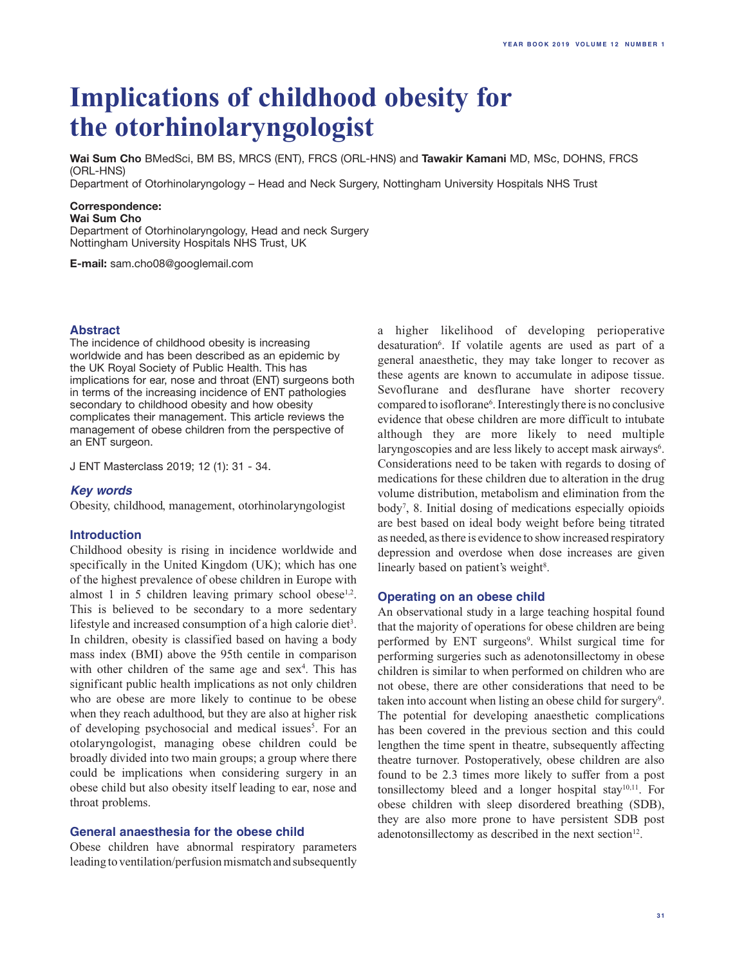# **Implications of childhood obesity for the otorhinolaryngologist**

**Wai Sum Cho** BMedSci, BM BS, MRCS (ENT), FRCS (ORL-HNS) and **Tawakir Kamani** MD, MSc, DOHNS, FRCS (ORL-HNS)

Department of Otorhinolaryngology – Head and Neck Surgery, Nottingham University Hospitals NHS Trust

# **Correspondence:**

#### **Wai Sum Cho**

Department of Otorhinolaryngology, Head and neck Surgery Nottingham University Hospitals NHS Trust, UK

**E-mail:** sam.cho08@googlemail.com

#### **Abstract**

The incidence of childhood obesity is increasing worldwide and has been described as an epidemic by the UK Royal Society of Public Health. This has implications for ear, nose and throat (ENT) surgeons both in terms of the increasing incidence of ENT pathologies secondary to childhood obesity and how obesity complicates their management. This article reviews the management of obese children from the perspective of an ENT surgeon.

J ENT Masterclass 2019; 12 (1): 31 - 34.

#### *Key words*

Obesity, childhood, management, otorhinolaryngologist

#### **Introduction**

Childhood obesity is rising in incidence worldwide and specifically in the United Kingdom (UK); which has one of the highest prevalence of obese children in Europe with almost 1 in 5 children leaving primary school obese $1,2$ . This is believed to be secondary to a more sedentary lifestyle and increased consumption of a high calorie diet<sup>3</sup>. In children, obesity is classified based on having a body mass index (BMI) above the 95th centile in comparison with other children of the same age and  $sex<sup>4</sup>$ . This has significant public health implications as not only children who are obese are more likely to continue to be obese when they reach adulthood, but they are also at higher risk of developing psychosocial and medical issues<sup>5</sup>. For an otolaryngologist, managing obese children could be broadly divided into two main groups; a group where there could be implications when considering surgery in an obese child but also obesity itself leading to ear, nose and throat problems.

## **General anaesthesia for the obese child**

Obese children have abnormal respiratory parameters leading to ventilation/perfusion mismatch and subsequently a higher likelihood of developing perioperative desaturation<sup>6</sup>. If volatile agents are used as part of a general anaesthetic, they may take longer to recover as these agents are known to accumulate in adipose tissue. Sevoflurane and desflurane have shorter recovery compared to isoflorane<sup>6</sup>. Interestingly there is no conclusive evidence that obese children are more difficult to intubate although they are more likely to need multiple laryngoscopies and are less likely to accept mask airways<sup>6</sup>. Considerations need to be taken with regards to dosing of medications for these children due to alteration in the drug volume distribution, metabolism and elimination from the body7 , 8. Initial dosing of medications especially opioids are best based on ideal body weight before being titrated as needed, as there is evidence to show increased respiratory depression and overdose when dose increases are given linearly based on patient's weight<sup>8</sup>.

#### **Operating on an obese child**

An observational study in a large teaching hospital found that the majority of operations for obese children are being performed by ENT surgeons<sup>9</sup>. Whilst surgical time for performing surgeries such as adenotonsillectomy in obese children is similar to when performed on children who are not obese, there are other considerations that need to be taken into account when listing an obese child for surgery<sup>9</sup>. The potential for developing anaesthetic complications has been covered in the previous section and this could lengthen the time spent in theatre, subsequently affecting theatre turnover. Postoperatively, obese children are also found to be 2.3 times more likely to suffer from a post tonsillectomy bleed and a longer hospital stay<sup>10,11</sup>. For obese children with sleep disordered breathing (SDB), they are also more prone to have persistent SDB post adenotonsillectomy as described in the next section<sup>12</sup>.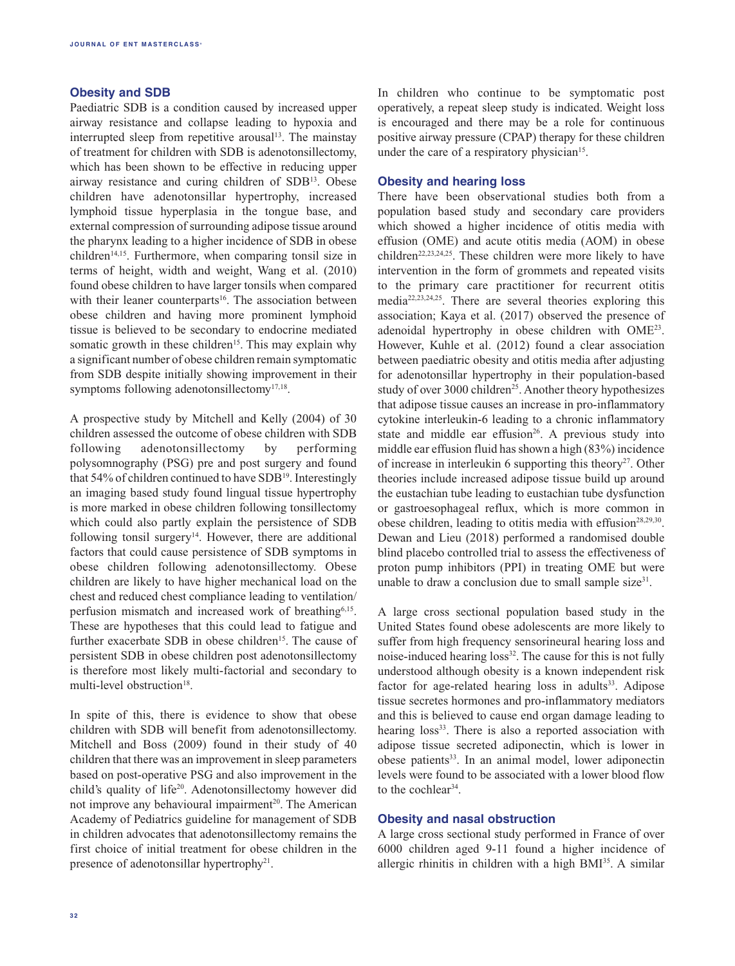# **Obesity and SDB**

Paediatric SDB is a condition caused by increased upper airway resistance and collapse leading to hypoxia and interrupted sleep from repetitive arousal<sup>13</sup>. The mainstay of treatment for children with SDB is adenotonsillectomy, which has been shown to be effective in reducing upper airway resistance and curing children of SDB13. Obese children have adenotonsillar hypertrophy, increased lymphoid tissue hyperplasia in the tongue base, and external compression of surrounding adipose tissue around the pharynx leading to a higher incidence of SDB in obese children<sup>14,15</sup>. Furthermore, when comparing tonsil size in terms of height, width and weight, Wang et al. (2010) found obese children to have larger tonsils when compared with their leaner counterparts<sup>16</sup>. The association between obese children and having more prominent lymphoid tissue is believed to be secondary to endocrine mediated somatic growth in these children<sup>15</sup>. This may explain why a significant number of obese children remain symptomatic from SDB despite initially showing improvement in their symptoms following adenotonsillectomy<sup>17,18</sup>.

A prospective study by Mitchell and Kelly (2004) of 30 children assessed the outcome of obese children with SDB following adenotonsillectomy by performing polysomnography (PSG) pre and post surgery and found that 54% of children continued to have SDB<sup>19</sup>. Interestingly an imaging based study found lingual tissue hypertrophy is more marked in obese children following tonsillectomy which could also partly explain the persistence of SDB following tonsil surgery<sup>14</sup>. However, there are additional factors that could cause persistence of SDB symptoms in obese children following adenotonsillectomy. Obese children are likely to have higher mechanical load on the chest and reduced chest compliance leading to ventilation/ perfusion mismatch and increased work of breathing<sup>6,15</sup>. These are hypotheses that this could lead to fatigue and further exacerbate SDB in obese children<sup>15</sup>. The cause of persistent SDB in obese children post adenotonsillectomy is therefore most likely multi-factorial and secondary to multi-level obstruction<sup>18</sup>.

In spite of this, there is evidence to show that obese children with SDB will benefit from adenotonsillectomy. Mitchell and Boss (2009) found in their study of 40 children that there was an improvement in sleep parameters based on post-operative PSG and also improvement in the child's quality of life<sup>20</sup>. Adenotonsillectomy however did not improve any behavioural impairment<sup>20</sup>. The American Academy of Pediatrics guideline for management of SDB in children advocates that adenotonsillectomy remains the first choice of initial treatment for obese children in the presence of adenotonsillar hypertrophy<sup>21</sup>.

In children who continue to be symptomatic post operatively, a repeat sleep study is indicated. Weight loss is encouraged and there may be a role for continuous positive airway pressure (CPAP) therapy for these children under the care of a respiratory physician<sup>15</sup>.

## **Obesity and hearing loss**

There have been observational studies both from a population based study and secondary care providers which showed a higher incidence of otitis media with effusion (OME) and acute otitis media (AOM) in obese children<sup>22,23,24,25</sup>. These children were more likely to have intervention in the form of grommets and repeated visits to the primary care practitioner for recurrent otitis media22,23,24,25. There are several theories exploring this association; Kaya et al. (2017) observed the presence of adenoidal hypertrophy in obese children with OME23. However, Kuhle et al. (2012) found a clear association between paediatric obesity and otitis media after adjusting for adenotonsillar hypertrophy in their population-based study of over 3000 children<sup>25</sup>. Another theory hypothesizes that adipose tissue causes an increase in pro-inflammatory cytokine interleukin-6 leading to a chronic inflammatory state and middle ear effusion<sup>26</sup>. A previous study into middle ear effusion fluid has shown a high (83%) incidence of increase in interleukin 6 supporting this theory<sup>27</sup>. Other theories include increased adipose tissue build up around the eustachian tube leading to eustachian tube dysfunction or gastroesophageal reflux, which is more common in obese children, leading to otitis media with effusion<sup>28,29,30</sup>. Dewan and Lieu (2018) performed a randomised double blind placebo controlled trial to assess the effectiveness of proton pump inhibitors (PPI) in treating OME but were unable to draw a conclusion due to small sample size<sup>31</sup>.

A large cross sectional population based study in the United States found obese adolescents are more likely to suffer from high frequency sensorineural hearing loss and noise-induced hearing loss<sup>32</sup>. The cause for this is not fully understood although obesity is a known independent risk factor for age-related hearing loss in adults<sup>33</sup>. Adipose tissue secretes hormones and pro-inflammatory mediators and this is believed to cause end organ damage leading to hearing loss<sup>33</sup>. There is also a reported association with adipose tissue secreted adiponectin, which is lower in obese patients<sup>33</sup>. In an animal model, lower adiponectin levels were found to be associated with a lower blood flow to the cochlear<sup>34</sup>.

## **Obesity and nasal obstruction**

A large cross sectional study performed in France of over 6000 children aged 9-11 found a higher incidence of allergic rhinitis in children with a high BMI35. A similar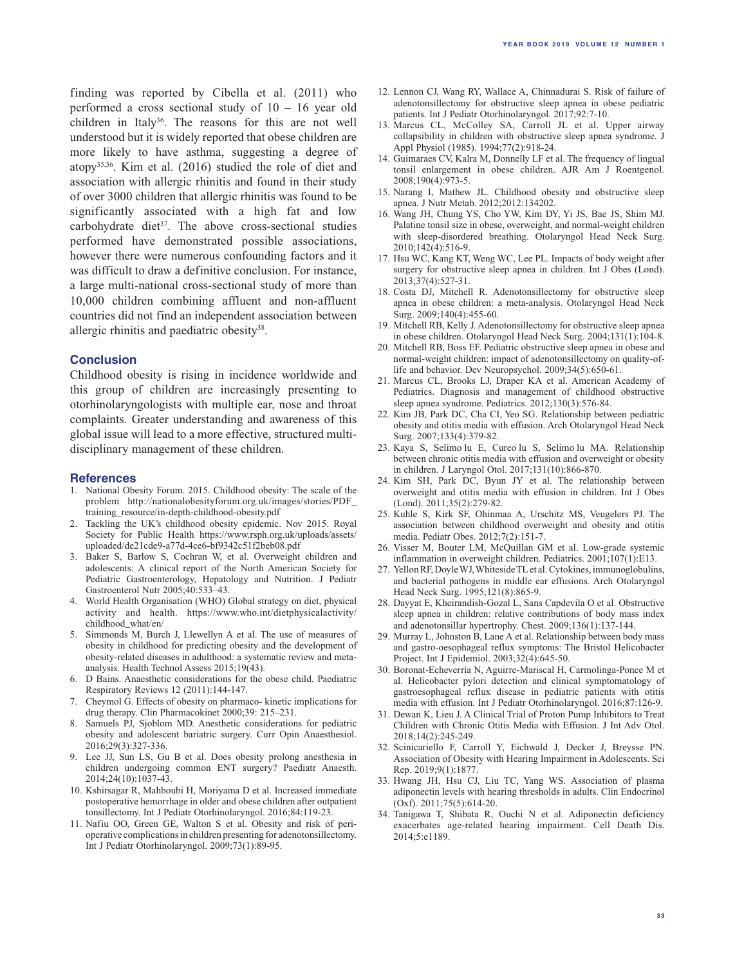finding was reported by Cibella et al. (2011) who performed a cross sectional study of 10 – 16 year old children in Italy<sup>36</sup>. The reasons for this are not well understood but it is widely reported that obese children are more likely to have asthma, suggesting a degree of atopy35,36. Kim et al. (2016) studied the role of diet and association with allergic rhinitis and found in their study of over 3000 children that allergic rhinitis was found to be significantly associated with a high fat and low carbohydrate diet<sup>37</sup>. The above cross-sectional studies performed have demonstrated possible associations, however there were numerous confounding factors and it was difficult to draw a definitive conclusion. For instance, a large multi-national cross-sectional study of more than 10,000 children combining affluent and non-affluent countries did not find an independent association between allergic rhinitis and paediatric obesity<sup>38</sup>.

#### **Conclusion**

Childhood obesity is rising in incidence worldwide and this group of children are increasingly presenting to otorhinolaryngologists with multiple ear, nose and throat complaints. Greater understanding and awareness of this global issue will lead to a more effective, structured multidisciplinary management of these children.

#### **References**

- 1. National Obesity Forum. 2015. Childhood obesity: The scale of the problem http://nationalobesityforum.org.uk/images/stories/PDF\_ training\_resource/in-depth-childhood-obesity.pdf
- 2. Tackling the UK's childhood obesity epidemic. Nov 2015. Royal Society for Public Health https://www.rsph.org.uk/uploads/assets/ uploaded/de21cde9-a77d-4ce6-bf9342c51f2beb08.pdf
- 3. Baker S, Barlow S, Cochran W, et al. Overweight children and adolescents: A clinical report of the North American Society for Pediatric Gastroenterology, Hepatology and Nutrition. J Pediatr Gastroenterol Nutr 2005;40:533–43.
- 4. World Health Organisation (WHO) Global strategy on diet, physical activity and health. https://www.who.int/dietphysicalactivity/ childhood\_what/en/
- 5. Simmonds M, Burch J, Llewellyn A et al. The use of measures of obesity in childhood for predicting obesity and the development of obesity-related diseases in adulthood: a systematic review and metaanalysis. Health Technol Assess 2015;19(43).
- 6. D Bains. Anaesthetic considerations for the obese child. Paediatric Respiratory Reviews 12 (2011):144-147.
- 7. Cheymol G. Effects of obesity on pharmaco- kinetic implications for drug therapy. Clin Pharmacokinet 2000;39: 215–231.
- 8. Samuels PJ, Sjoblom MD. Anesthetic considerations for pediatric obesity and adolescent bariatric surgery. Curr Opin Anaesthesiol. 2016;29(3):327-336.
- 9. Lee JJ, Sun LS, Gu B et al. Does obesity prolong anesthesia in children undergoing common ENT surgery? Paediatr Anaesth. 2014;24(10):1037-43.
- 10. Kshirsagar R, Mahboubi H, Moriyama D et al. Increased immediate postoperative hemorrhage in older and obese children after outpatient tonsillectomy. Int J Pediatr Otorhinolaryngol. 2016;84:119-23.
- 11. Nafiu OO, Green GE, Walton S et al. Obesity and risk of perioperative complications in children presenting for adenotonsillectomy. Int J Pediatr Otorhinolaryngol. 2009;73(1):89-95.
- 12. Lennon CJ, Wang RY, Wallace A, Chinnadurai S. Risk of failure of adenotonsillectomy for obstructive sleep apnea in obese pediatric patients. Int J Pediatr Otorhinolaryngol. 2017;92:7-10.
- 13. Marcus CL, McColley SA, Carroll JL et al. Upper airway collapsibility in children with obstructive sleep apnea syndrome. J Appl Physiol (1985). 1994;77(2):918-24.
- 14. Guimaraes CV, Kalra M, Donnelly LF et al. The frequency of lingual tonsil enlargement in obese children. AJR Am J Roentgenol. 2008;190(4):973-5.
- 15. Narang I, Mathew JL. Childhood obesity and obstructive sleep apnea. J Nutr Metab. 2012;2012:134202.
- 16. Wang JH, Chung YS, Cho YW, Kim DY, Yi JS, Bae JS, Shim MJ. Palatine tonsil size in obese, overweight, and normal-weight children with sleep-disordered breathing. Otolaryngol Head Neck Surg. 2010;142(4):516-9.
- 17. Hsu WC, Kang KT, Weng WC, Lee PL. Impacts of body weight after surgery for obstructive sleep apnea in children. Int J Obes (Lond). 2013;37(4):527-31.
- 18. Costa DJ, Mitchell R. Adenotonsillectomy for obstructive sleep apnea in obese children: a meta-analysis. Otolaryngol Head Neck Surg. 2009;140(4):455-60.
- 19. Mitchell RB, Kelly J. Adenotonsillectomy for obstructive sleep apnea in obese children. Otolaryngol Head Neck Surg. 2004;131(1):104-8.
- 20. Mitchell RB, Boss EF. Pediatric obstructive sleep apnea in obese and normal-weight children: impact of adenotonsillectomy on quality-oflife and behavior. Dev Neuropsychol. 2009;34(5):650-61.
- 21. Marcus CL, Brooks LJ, Draper KA et al. American Academy of Pediatrics. Diagnosis and management of childhood obstructive sleep apnea syndrome. Pediatrics. 2012;130(3):576-84.
- 22. Kim JB, Park DC, Cha CI, Yeo SG. Relationship between pediatric obesity and otitis media with effusion. Arch Otolaryngol Head Neck Surg. 2007;133(4):379-82.
- 23. Kaya S, Selimo lu E, Cureo lu S, Selimo lu MA. Relationship between chronic otitis media with effusion and overweight or obesity in children. J Laryngol Otol. 2017;131(10):866-870.
- 24. Kim SH, Park DC, Byun JY et al. The relationship between overweight and otitis media with effusion in children. Int J Obes (Lond). 2011;35(2):279-82.
- 25. Kuhle S, Kirk SF, Ohinmaa A, Urschitz MS, Veugelers PJ. The association between childhood overweight and obesity and otitis media. Pediatr Obes. 2012;7(2):151-7.
- 26. Visser M, Bouter LM, McQuillan GM et al. Low-grade systemic inflammation in overweight children. Pediatrics. 2001;107(1):E13.
- 27. Yellon RF, Doyle WJ, Whiteside TL et al. Cytokines, immunoglobulins, and bacterial pathogens in middle ear effusions. Arch Otolaryngol Head Neck Surg. 1995;121(8):865-9.
- 28. Dayyat E, Kheirandish-Gozal L, Sans Capdevila O et al. Obstructive sleep apnea in children: relative contributions of body mass index and adenotonsillar hypertrophy. Chest. 2009;136(1):137-144.
- 29. Murray L, Johnston B, Lane A et al. Relationship between body mass and gastro-oesophageal reflux symptoms: The Bristol Helicobacter Project. Int J Epidemiol. 2003;32(4):645-50.
- 30. Boronat-Echeverría N, Aguirre-Mariscal H, Carmolinga-Ponce M et al. Helicobacter pylori detection and clinical symptomatology of gastroesophageal reflux disease in pediatric patients with otitis media with effusion. Int J Pediatr Otorhinolaryngol. 2016;87:126-9.
- 31. Dewan K, Lieu J. A Clinical Trial of Proton Pump Inhibitors to Treat Children with Chronic Otitis Media with Effusion. J Int Adv Otol. 2018;14(2):245-249.
- 32. Scinicariello F, Carroll Y, Eichwald J, Decker J, Breysse PN. Association of Obesity with Hearing Impairment in Adolescents. Sci Rep. 2019;9(1):1877.
- 33. Hwang JH, Hsu CJ, Liu TC, Yang WS. Association of plasma adiponectin levels with hearing thresholds in adults. Clin Endocrinol (Oxf). 2011;75(5):614-20.
- 34. Tanigawa T, Shibata R, Ouchi N et al. Adiponectin deficiency exacerbates age-related hearing impairment. Cell Death Dis. 2014;5:e1189.